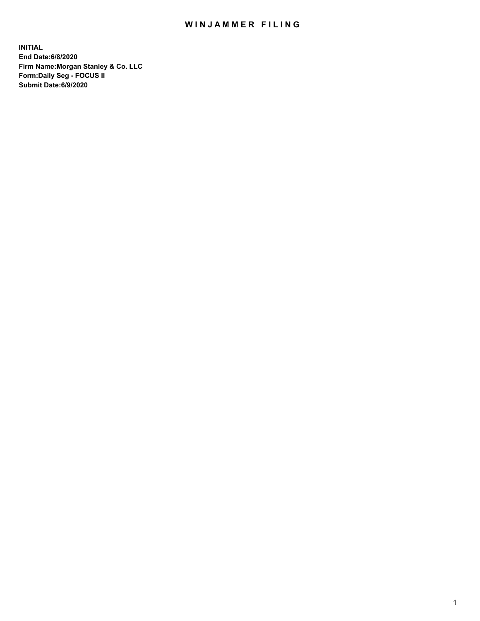## WIN JAMMER FILING

**INITIAL End Date:6/8/2020 Firm Name:Morgan Stanley & Co. LLC Form:Daily Seg - FOCUS II Submit Date:6/9/2020**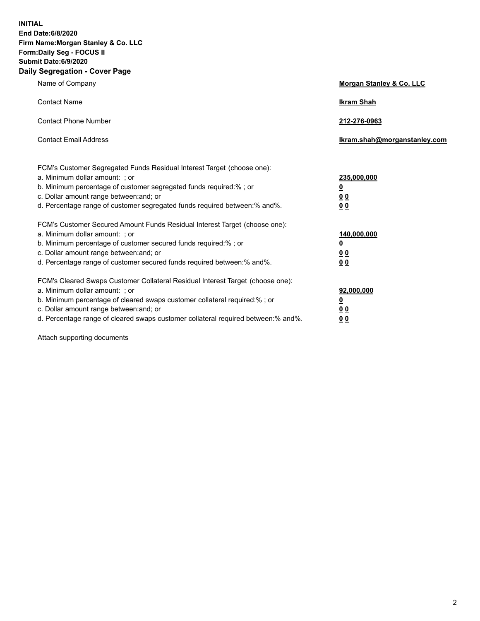**INITIAL End Date:6/8/2020 Firm Name:Morgan Stanley & Co. LLC Form:Daily Seg - FOCUS II Submit Date:6/9/2020 Daily Segregation - Cover Page**

| Name of Company                                                                                                                                                                                                                                                                                                                | Morgan Stanley & Co. LLC                                    |
|--------------------------------------------------------------------------------------------------------------------------------------------------------------------------------------------------------------------------------------------------------------------------------------------------------------------------------|-------------------------------------------------------------|
| <b>Contact Name</b>                                                                                                                                                                                                                                                                                                            | <b>Ikram Shah</b>                                           |
| <b>Contact Phone Number</b>                                                                                                                                                                                                                                                                                                    | 212-276-0963                                                |
| <b>Contact Email Address</b>                                                                                                                                                                                                                                                                                                   | Ikram.shah@morganstanley.com                                |
| FCM's Customer Segregated Funds Residual Interest Target (choose one):<br>a. Minimum dollar amount: ; or<br>b. Minimum percentage of customer segregated funds required:% ; or<br>c. Dollar amount range between: and; or<br>d. Percentage range of customer segregated funds required between: % and %.                       | 235,000,000<br><u>0</u><br>00<br>0 <sub>0</sub>             |
| FCM's Customer Secured Amount Funds Residual Interest Target (choose one):<br>a. Minimum dollar amount: ; or<br>b. Minimum percentage of customer secured funds required:%; or<br>c. Dollar amount range between: and; or<br>d. Percentage range of customer secured funds required between:% and%.                            | 140,000,000<br><u>0</u><br>0 <sub>0</sub><br>0 <sub>0</sub> |
| FCM's Cleared Swaps Customer Collateral Residual Interest Target (choose one):<br>a. Minimum dollar amount: ; or<br>b. Minimum percentage of cleared swaps customer collateral required:% ; or<br>c. Dollar amount range between: and; or<br>d. Percentage range of cleared swaps customer collateral required between:% and%. | 92,000,000<br><u>0</u><br>0 Q<br>0 <sub>0</sub>             |

Attach supporting documents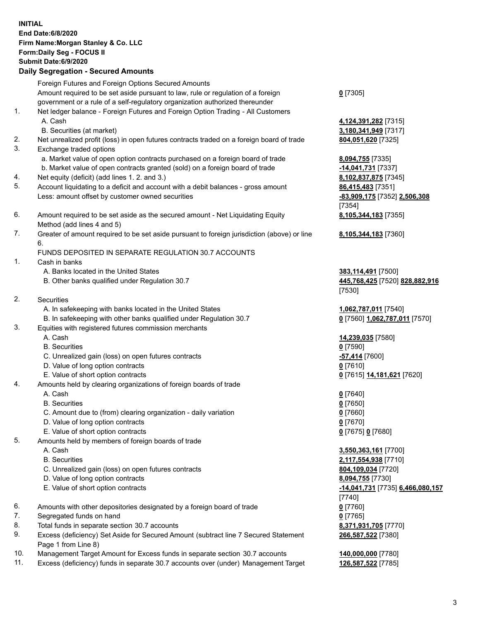|                                     | <b>INITIAL</b>                                                                              |                                              |  |  |
|-------------------------------------|---------------------------------------------------------------------------------------------|----------------------------------------------|--|--|
|                                     | End Date: 6/8/2020                                                                          |                                              |  |  |
| Firm Name: Morgan Stanley & Co. LLC |                                                                                             |                                              |  |  |
|                                     | Form: Daily Seg - FOCUS II                                                                  |                                              |  |  |
|                                     | Submit Date: 6/9/2020                                                                       |                                              |  |  |
|                                     | <b>Daily Segregation - Secured Amounts</b>                                                  |                                              |  |  |
|                                     | Foreign Futures and Foreign Options Secured Amounts                                         |                                              |  |  |
|                                     | Amount required to be set aside pursuant to law, rule or regulation of a foreign            | $0$ [7305]                                   |  |  |
|                                     | government or a rule of a self-regulatory organization authorized thereunder                |                                              |  |  |
| 1.                                  | Net ledger balance - Foreign Futures and Foreign Option Trading - All Customers<br>A. Cash  |                                              |  |  |
|                                     | B. Securities (at market)                                                                   | 4,124,391,282 [7315]<br>3,180,341,949 [7317] |  |  |
| 2.                                  | Net unrealized profit (loss) in open futures contracts traded on a foreign board of trade   | 804,051,620 [7325]                           |  |  |
| 3.                                  | Exchange traded options                                                                     |                                              |  |  |
|                                     | a. Market value of open option contracts purchased on a foreign board of trade              | 8,094,755 [7335]                             |  |  |
|                                     | b. Market value of open contracts granted (sold) on a foreign board of trade                | -14,041,731 [7337]                           |  |  |
| 4.                                  | Net equity (deficit) (add lines 1. 2. and 3.)                                               | 8,102,837,875 [7345]                         |  |  |
| 5.                                  | Account liquidating to a deficit and account with a debit balances - gross amount           | 86,415,483 [7351]                            |  |  |
|                                     | Less: amount offset by customer owned securities                                            | -83,909,175 [7352] 2,506,308                 |  |  |
|                                     |                                                                                             | [7354]                                       |  |  |
| 6.                                  | Amount required to be set aside as the secured amount - Net Liquidating Equity              | 8,105,344,183 [7355]                         |  |  |
|                                     | Method (add lines 4 and 5)                                                                  |                                              |  |  |
| 7.                                  | Greater of amount required to be set aside pursuant to foreign jurisdiction (above) or line | 8,105,344,183 [7360]                         |  |  |
|                                     | 6.                                                                                          |                                              |  |  |
| 1.                                  | FUNDS DEPOSITED IN SEPARATE REGULATION 30.7 ACCOUNTS<br>Cash in banks                       |                                              |  |  |
|                                     | A. Banks located in the United States                                                       | 383,114,491 [7500]                           |  |  |
|                                     | B. Other banks qualified under Regulation 30.7                                              | 445,768,425 [7520] 828,882,916               |  |  |
|                                     |                                                                                             | [7530]                                       |  |  |
| 2.                                  | <b>Securities</b>                                                                           |                                              |  |  |
|                                     | A. In safekeeping with banks located in the United States                                   | 1,062,787,011 [7540]                         |  |  |
|                                     | B. In safekeeping with other banks qualified under Regulation 30.7                          | 0 [7560] 1,062,787,011 [7570]                |  |  |
| 3.                                  | Equities with registered futures commission merchants                                       |                                              |  |  |
|                                     | A. Cash                                                                                     | 14,239,035 [7580]                            |  |  |
|                                     | <b>B.</b> Securities                                                                        | $0$ [7590]                                   |  |  |
|                                     | C. Unrealized gain (loss) on open futures contracts                                         | -57,414 [7600]                               |  |  |
|                                     | D. Value of long option contracts                                                           | $0$ [7610]                                   |  |  |
| 4.                                  | E. Value of short option contracts                                                          | 0 [7615] 14,181,621 [7620]                   |  |  |
|                                     | Amounts held by clearing organizations of foreign boards of trade<br>A. Cash                | $0$ [7640]                                   |  |  |
|                                     | <b>B.</b> Securities                                                                        | $0$ [7650]                                   |  |  |
|                                     | C. Amount due to (from) clearing organization - daily variation                             | $0$ [7660]                                   |  |  |
|                                     | D. Value of long option contracts                                                           | $0$ [7670]                                   |  |  |
|                                     | E. Value of short option contracts                                                          | 0 [7675] 0 [7680]                            |  |  |
| 5.                                  | Amounts held by members of foreign boards of trade                                          |                                              |  |  |
|                                     | A. Cash                                                                                     | 3,550,363,161 [7700]                         |  |  |
|                                     | <b>B.</b> Securities                                                                        | 2,117,554,938 [7710]                         |  |  |
|                                     | C. Unrealized gain (loss) on open futures contracts                                         | 804,109,034 [7720]                           |  |  |
|                                     | D. Value of long option contracts                                                           | 8,094,755 [7730]                             |  |  |
|                                     | E. Value of short option contracts                                                          | -14,041,731 [7735] 6,466,080,157             |  |  |
|                                     |                                                                                             | [7740]                                       |  |  |
| 6.<br>7.                            | Amounts with other depositories designated by a foreign board of trade                      | $0$ [7760]                                   |  |  |
| 8.                                  | Segregated funds on hand<br>Total funds in separate section 30.7 accounts                   | $0$ [7765]<br>8,371,931,705 [7770]           |  |  |
| 9.                                  | Excess (deficiency) Set Aside for Secured Amount (subtract line 7 Secured Statement         | 266,587,522 [7380]                           |  |  |
|                                     | Page 1 from Line 8)                                                                         |                                              |  |  |
| 10.                                 | Management Target Amount for Excess funds in separate section 30.7 accounts                 | 140,000,000 [7780]                           |  |  |
| 11.                                 | Excess (deficiency) funds in separate 30.7 accounts over (under) Management Target          | 126,587,522 [7785]                           |  |  |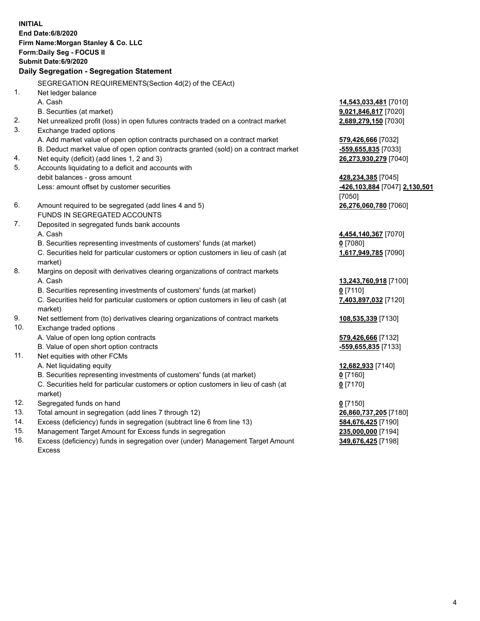| <b>INITIAL</b> | End Date:6/8/2020<br>Firm Name: Morgan Stanley & Co. LLC<br>Form: Daily Seg - FOCUS II<br>Submit Date: 6/9/2020<br>Daily Segregation - Segregation Statement |                                                     |
|----------------|--------------------------------------------------------------------------------------------------------------------------------------------------------------|-----------------------------------------------------|
|                | SEGREGATION REQUIREMENTS(Section 4d(2) of the CEAct)                                                                                                         |                                                     |
| 1.             | Net ledger balance                                                                                                                                           |                                                     |
|                | A. Cash                                                                                                                                                      | 14,543,033,481 [7010]                               |
|                | B. Securities (at market)                                                                                                                                    | 9,021,846,817 [7020]                                |
| 2.             | Net unrealized profit (loss) in open futures contracts traded on a contract market                                                                           | 2,689,279,150 [7030]                                |
| 3.             | Exchange traded options                                                                                                                                      |                                                     |
|                | A. Add market value of open option contracts purchased on a contract market                                                                                  | 579,426,666 [7032]                                  |
|                | B. Deduct market value of open option contracts granted (sold) on a contract market                                                                          | -559,655,835 [7033]                                 |
| 4.<br>5.       | Net equity (deficit) (add lines 1, 2 and 3)                                                                                                                  | 26,273,930,279 [7040]                               |
|                | Accounts liquidating to a deficit and accounts with<br>debit balances - gross amount                                                                         |                                                     |
|                | Less: amount offset by customer securities                                                                                                                   | 428,234,385 [7045]<br>-426,103,884 [7047] 2,130,501 |
|                |                                                                                                                                                              | [7050]                                              |
| 6.             | Amount required to be segregated (add lines 4 and 5)                                                                                                         | 26,276,060,780 [7060]                               |
|                | FUNDS IN SEGREGATED ACCOUNTS                                                                                                                                 |                                                     |
| 7.             | Deposited in segregated funds bank accounts                                                                                                                  |                                                     |
|                | A. Cash                                                                                                                                                      | 4,454,140,367 [7070]                                |
|                | B. Securities representing investments of customers' funds (at market)                                                                                       | $0$ [7080]                                          |
|                | C. Securities held for particular customers or option customers in lieu of cash (at                                                                          | 1,617,949,785 [7090]                                |
|                | market)                                                                                                                                                      |                                                     |
| 8.             | Margins on deposit with derivatives clearing organizations of contract markets                                                                               |                                                     |
|                | A. Cash                                                                                                                                                      | 13,243,760,918 [7100]                               |
|                | B. Securities representing investments of customers' funds (at market)                                                                                       | $0$ [7110]                                          |
|                | C. Securities held for particular customers or option customers in lieu of cash (at<br>market)                                                               | 7,403,897,032 [7120]                                |
| 9.             | Net settlement from (to) derivatives clearing organizations of contract markets                                                                              | 108,535,339 [7130]                                  |
| 10.            | Exchange traded options                                                                                                                                      |                                                     |
|                | A. Value of open long option contracts                                                                                                                       | 579,426,666 [7132]                                  |
|                | B. Value of open short option contracts                                                                                                                      | -559,655,835 [7133]                                 |
| 11.            | Net equities with other FCMs                                                                                                                                 |                                                     |
|                | A. Net liquidating equity                                                                                                                                    | 12,682,933 [7140]                                   |
|                | B. Securities representing investments of customers' funds (at market)                                                                                       | $0$ [7160]                                          |
|                | C. Securities held for particular customers or option customers in lieu of cash (at<br>market)                                                               | $0$ [7170]                                          |
| 12.            | Segregated funds on hand                                                                                                                                     | $0$ [7150]                                          |
| 13.            | Total amount in segregation (add lines 7 through 12)                                                                                                         | 26,860,737,205 [7180]                               |
| 14.            | Excess (deficiency) funds in segregation (subtract line 6 from line 13)                                                                                      | 584,676,425 [7190]                                  |
| 15.            | Management Target Amount for Excess funds in segregation                                                                                                     | 235,000,000 [7194]                                  |
| 16.            | Excess (deficiency) funds in segregation over (under) Management Target Amount                                                                               | 349,676,425 [7198]                                  |

15. Management Target Amount for Excess funds in segregation<br>16. Excess (deficiency) funds in segregation over (under) Manag Excess (deficiency) funds in segregation over (under) Management Target Amount Excess